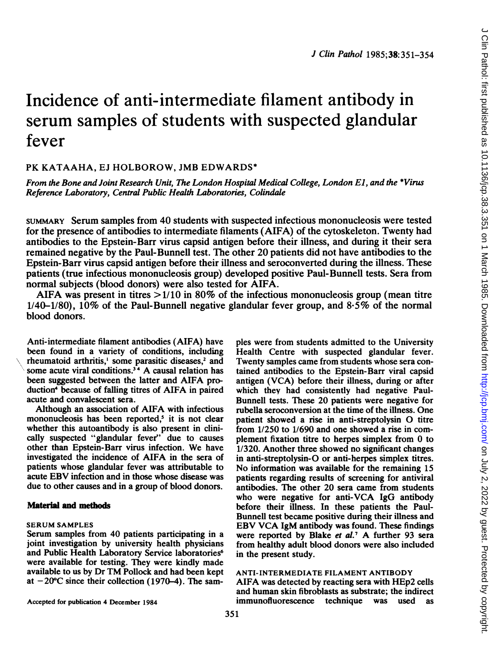# Incidence of anti-intermediate filament antibody in serum samples of students with suspected glandular fever

# PK KATAAHA, EJ HOLBOROW, JMB EDWARDS\*

From the Bone and Joint Research Unit, The London Hospital Medical College, London El, and the \*Virus Reference Laboratory, Central Public Health Laboratories, Colindale

suMMARY Serum samples from 40 students with suspected infectious mononucleosis were tested for the presence of antibodies to intermediate filaments (AIFA) of the cytoskeleton. Twenty had antibodies to the Epstein-Barr virus capsid antigen before their illness, and during it their sera remained negative by the Paul-Bunnell test. The other 20 patients did not have antibodies to the Epstein-Barr virus capsid antigen before their illness and seroconverted during the illness. These patients (true infectious mononucleosis group) developed positive Paul-Bunnell tests. Sera from normal subjects (blood donors) were also tested for AIFA.

AIFA was present in titres  $>1/10$  in 80% of the infectious mononucleosis group (mean titre 1/40-1/80), 10% of the Paul-Bunnell negative glandular fever group, and 8-5% of the normal blood donors.

Anti-intermediate filament antibodies (AIFA) have been found in a variety of conditions, including rheumatoid arthritis,<sup>1</sup> some parasitic diseases,<sup>2</sup> and some acute viral conditions.<sup>34</sup> A causal relation has been suggested between the latter and AIFA production<sup>4</sup> because of falling titres of AIFA in paired acute and convalescent sera.

Although an association of AIFA with infectious mononucleosis has been reported,<sup>5</sup> it is not clear whether this autoantibody is also present in clinically suspected "glandular fever' due to causes other than Epstein-Barr virus infection. We have investigated the incidence of AIFA in the sera of patients whose glandular fever was attributable to acute EBV infection and in those whose disease was due to other causes and in a group of blood donors.

#### Material and methods

#### SERUM SAMPLES

Serum samples from 40 patients participating in a joint investigation by university health physicians and Public Health Laboratory Service laboratories<sup>6</sup> were available for testing. They were kindly made available to us by Dr TM Pollock and had been kept at  $-20^{\circ}$ C since their collection (1970-4). The sam-

Accepted for publication 4 December 1984

ples were from students admitted to the University Health Centre with suspected glandular fever. Twenty samples came from students whose sera contained antibodies to the Epstein-Barr viral capsid antigen (VCA) before their illness, during or after which they had consistently had negative Paul-Bunnell tests. These 20 patients were negative for rubella seroconversion at the time of the illness. One patient showed <sup>a</sup> rise in anti-streptolysin 0 titre from 1/250 to 1/690 and one showed a rise in complement fixation titre to herpes simplex from 0 to 1/320. Another three showed no significant changes in anti-streptolysin-O or anti-herpes simplex titres. No information was available for the remaining 15 patients regarding results of screening for antiviral antibodies. The other 20 sera came from students who were negative for anti-VCA IgG antibody before their illness. In these patients the Paul-Bunnell test became positive during their illness and EBV VCA IgM antibody was found. These findings were reported by Blake et al.<sup>7</sup> A further 93 sera from healthy adult blood donors were also included in the present study.

#### ANTI-INTERMEDIATE FILAMENT ANTIBODY AIFA was detected by reacting sera with HEp2 cells and human skin fibroblasts as substrate; the indirect immunofluorescence technique was used as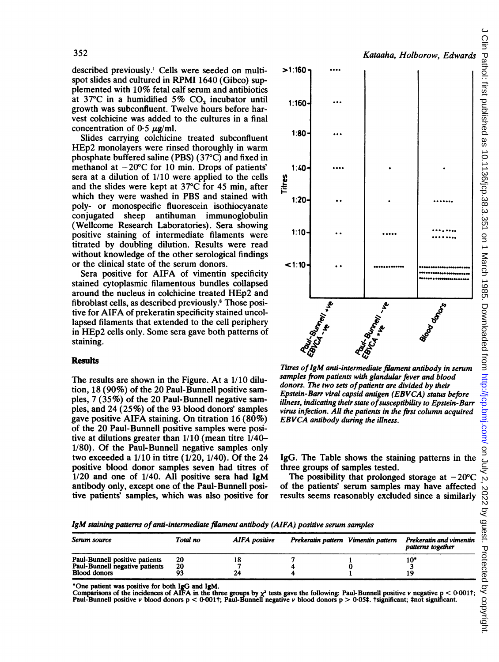described previously.' Cells were seeded on multispot slides and cultured in RPMI 1640 (Gibco) supplemented with 10% fetal calf serum and antibiotics at  $37^{\circ}$ C in a humidified  $5\%$  CO<sub>2</sub> incubator until growth was subconfluent. Twelve hours before harvest colchicine was added to the cultures in a final concentration of  $0.5 \mu g/ml$ .

Slides carrying colchicine treated subconfluent HEp2 monolayers were rinsed thoroughly in warm phosphate buffered saline (PBS) (37°C) and fixed in methanol at  $-20^{\circ}$ C for 10 min. Drops of patients' sera at a dilution of 1/10 were applied to the cells and the slides were kept at 37°C for 45 min, after which they were washed in PBS and stained with poly- or monospecific fluorescein isothiocyanate conjugated sheep antihuman immunoglobulin (Wellcome Research Laboratories). Sera showing positive staining of intermediate filaments were titrated by doubling dilution. Results were read without knowledge of the other serological findings or the clinical state of the serum donors.

Sera positive for AIFA of vimentin specificity stained cytoplasmic filamentous bundles collapsed around the nucleus in colchicine treated HEp2 and fibroblast cells, as described previously.8 Those positive for AIFA of prekeratin specificity stained uncollapsed filaments that extended to the cell periphery in HEp2 cells only. Some sera gave both patterns of staining.

## **Results**

The results are shown in the Figure. At a 1/10 dilution, 18 (90%) of the 20 Paul-Bunnell positive samples, 7 (35%) of the 20 Paul-Bunnell negative samples, and 24 (25%) of the 93 blood donors' samples gave positive AIFA staining. On titration 16 (80%) of the 20 Paul-Bunnell positive samples were positive at dilutions greater than 1/10 (mean titre 1/40- 1/80). Of the Paul-Bunnell negative samples only two exceeded a 1/10 in titre (1/20, 1/40). Of the 24 positive blood donor samples seven had titres of 1/20 and one of 1/40. All positive sera had IgM antibody only, except one of the Paul-Bunnell positive patients' samples, which was also positive for



Titres of IgM anti-intermediate filament antibody in serum samples from patients with glandular fever and blood donors. The two sets of patients are divided by their Epstein-Barr viral capsid antigen (EBVCA) status before illness, indicating their state of susceptibility to Epstein-Barr virus infection. All the patients in the first column acquired EBVCA antibody during the illness.

IgG. The Table shows the staining patterns in the three groups of samples tested.

The possibility that prolonged storage at  $-20^{\circ}$ C of the patients' serum samples may have affected results seems reasonably excluded since a similarly

IgM staining pattems ofanti-intermediate fiament antibody (AIFA) positive serum samples

| Serum source                   | Total no | <b>AIFA</b> positive | Prekeratin pattern Vimentin pattern | Prekeratin and vimentin<br>patterns together |
|--------------------------------|----------|----------------------|-------------------------------------|----------------------------------------------|
| Paul-Bunnell positive patients | 20       |                      |                                     | 10'                                          |
| Paul-Bunnell negative patients | 20       |                      |                                     |                                              |
| <b>Blood donors</b>            |          | 24                   |                                     | 19                                           |

\*One patient was positive for both IgG and IgM.

Comparisons of the incidences of AIFA in the three groups by  $\chi^2$  tests gave the following: Paul-Bunnell positive  $\nu$  negative  $p < 0.001$ †; Paul-Bunnell positive  $\nu$  hood donors p < 0.001†; Paul-Bunnell negative  $\nu$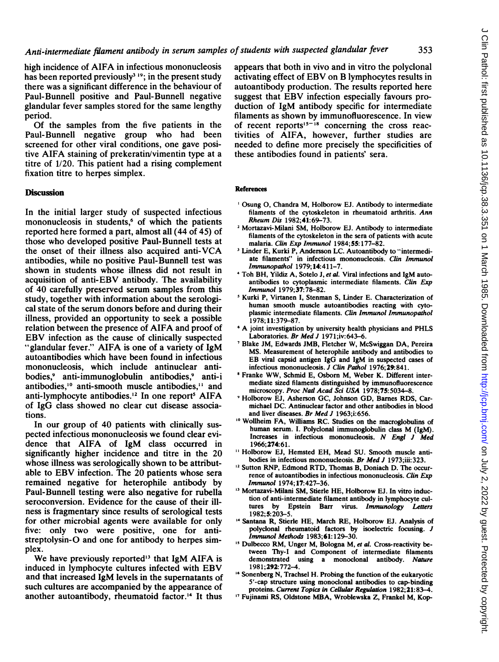high incidence of AIFA in infectious mononucleosis has been reported previously<sup>3 19</sup>; in the present study there was a significant difference in the behaviour of Paul-Bunnell positive and Paul-Bunnell negative glandular fever samples stored for the same lengthy period.

Of the samples from the five patients in the Paul-Bunnell negative group who had been screened for other viral conditions, one gave positive AIFA staining of prekeratin/vimentin type at <sup>a</sup> titre of 1/20. This patient had a rising complement fixation titre to herpes simplex.

# **Discussion**

In the initial larger study of suspected infectious mononucleosis in students,<sup>6</sup> of which the patients reported here formed a part, almost all (44 of 45) of those who developed positive Paul-Bunnell tests at the onset of their illness also acquired anti-VCA antibodies, while no positive Paul-Bunnell test was shown in students whose illness did not result in acquisition of anti-EBV antibody. The availability of 40 carefully preserved serum samples from this study, together with information about the serological state of the serum donors before and during their illness, provided an opportunity to seek a possible relation between the presence of AIFA and proof of EBV infection as the cause of clinically suspected "glandular fever." AIFA is one of <sup>a</sup> variety of IgM autoantibodies which have been found in infectious mononucleosis, which include antinuclear antibodies,<sup>9</sup> anti-immunoglobulin antibodies,<sup>9</sup> anti-i antibodies,'0 anti-smooth muscle antibodies," and anti-lymphocyte antibodies.<sup>12</sup> In one report<sup>5</sup> AIFA of IgG class showed no clear cut disease associations.

In our group of 40 patients with clinically suspected infectious mononucleosis we found clear evidence that AIFA of IgM class occurred in significantly higher incidence and titre in the 20 whose illness was serologically shown to be attributable to EBV infection. The 20 patients whose sera remained negative for heterophile antibody by Paul-Bunnell testing were also negative for rubella seroconversion. Evidence for the cause of their illness is fragmentary since results of serological tests for other microbial agents were available for only five: only two were positive, one for antistreptolysin-O and one for antibody to herpes simplex.

We have previously reported<sup>13</sup> that IgM AIFA is induced in lymphocyte cultures infected with EBV and that increased IgM levels in the supernatants of such cultures are accompanied by the appearance of another autoantibody, rheumatoid factor.'4 It thus

appears that both in vivo and in vitro the polyclonal activating effect of EBV on B lymphocytes results in autoantibody production. The results reported here suggest that EBV infection especially favours production of IgM antibody specific for intermediate filaments as shown by immunofluorescence. In view of recent reports<sup>15-18</sup> concerning the cross reactivities of AIFA, however, further studies are needed to define more precisely the specificities of these antibodies found in patients' sera.

#### References

- Osung 0, Chandra M, Holborow EJ. Antibody to intermediate filaments of the cytoskeleton in rheumatoid arthritis. Ann Rheum Dis 1982;41:69-73.
- <sup>2</sup> Mortazavi-Milani SM, Holborow EJ. Antibody to intermediate filaments of the cytoskeleton in the sera of patients with acute malaria. Clin Exp Immunol 1984;55: 177-82.
- <sup>3</sup> Linder E, Kurki P, Andersson LC. Autoantibody to "intermediate filaments" in infectious mononucleosis. Clin Immunol Immunopathol 1979;14:411-7.
- <sup>4</sup> Toh BH, Yildiz A, Sotelo J, et al. Viral infections and IgM autoantibodies to cytoplasmic intermediate filaments. Clin Exp Immunol 1979;37:78-82.
- <sup>5</sup> Kurki P, Virtanen I, Stenman S, Linder E. Characterization of human smooth muscle autoantibodies reacting with cytoplasmic intermediate filaments. Clin Immunol Immunopathol 1978; 11:379-87.
- <sup>6</sup> A joint investigation by university health physicians and PHLS Laboratories. Br Med J 1971;iv:643-6.
- <sup>7</sup> Blake JM, Edwards JMB, Fletcher W, McSwiggan DA, Pereira MS. Measurement of heterophile antibody and antibodies to EB viral capsid antigen IgG and IgM in suspected cases of infectious mononucleosis. J Clin Pathol 1976;29:841.
- Franke WW, Schmid E, Osborn M, Weber K. Different intermediate sized filaments distinguished by immunofluorescence microscopy. Proc Natl Acad Sci USA 1978;75:5034-8.
- Holborow EJ, Asherson GC, Johnson GD, Barnes RDS, Carmichael DC. Antinuclear factor and other antibodies in blood and liver diseases. Br Med J 1963;i:656.
- Wollheim FA, Williams RC. Studies on the macroglobulins of human serum. I. Polyclonal immunoglobulin class M (IgM). Increases in infectious mononucleosis. N Engl <sup>J</sup> Med 1966;274:61.
- <sup>11</sup> Holborow EJ, Hemsted EH, Mead SU. Smooth muscle antibodies in infectious mononucleosis. Br Med J 1973;iii:323.
- <sup>12</sup> Sutton RNP, Edmond RTD, Thomas B, Doniach D. The occurrence of autoantibodies in infectious mononucleosis. Clin Exp Immunol 1974;17:427-36.
- <sup>13</sup> Mortazavi-Milani SM, Stierle HE, Holborow EJ. In vitro induction of anti-intermediate filament antibody in lymphocyte cultures by Epstein Barr virus. Immunology Letters 1982;5:203-5.
- <sup>14</sup> Santana R, Stierle HE, March RE, Holborow EJ. Analysis of polyclonal rheumatoid factors by isoelectric focusing. J Imnunol Methods 1983;61:129-30.
- <sup>15</sup> Dulbecco RM, Unger M, Bologna M, et al. Cross-reactivity between Thy-I and Component of intermediate filaments demonstrated using a monoclonal antibody. Nature 1981;292:772-4.
- <sup>16</sup> Sonenberg N, Trachsel H. Probing the function of the eukaryotic 5'-cap structure using monoclonal antibodies to cap-binding proteins. Current Topics in Cellular Regulation 1982:21:83-4.
- Fujinami RS, Oldstone MBA, Wroblewska Z, Frankel M, Kop-

353